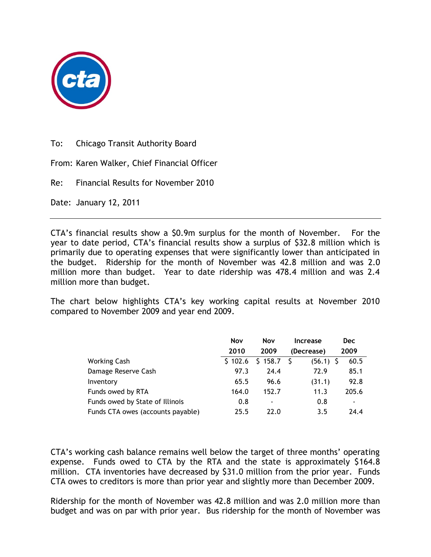

To: Chicago Transit Authority Board

From: Karen Walker, Chief Financial Officer

Re: Financial Results for November 2010

Date: January 12, 2011

CTA's financial results show a \$0.9m surplus for the month of November. For the year to date period, CTA's financial results show a surplus of \$32.8 million which is primarily due to operating expenses that were significantly lower than anticipated in the budget. Ridership for the month of November was 42.8 million and was 2.0 million more than budget. Year to date ridership was 478.4 million and was 2.4 million more than budget.

The chart below highlights CTA's key working capital results at November 2010 compared to November 2009 and year end 2009.

|                                   | Nov     | <b>Nov</b> | Increase    | Dec   |
|-----------------------------------|---------|------------|-------------|-------|
|                                   | 2010    | 2009       | (Decrease)  | 2009  |
| <b>Working Cash</b>               | \$102.6 | \$158.7    | $(56.1)$ \$ | 60.5  |
| Damage Reserve Cash               | 97.3    | 24.4       | 72.9        | 85.1  |
| Inventory                         | 65.5    | 96.6       | (31.1)      | 92.8  |
| Funds owed by RTA                 | 164.0   | 152.7      | 11.3        | 205.6 |
| Funds owed by State of Illinois   | 0.8     | ٠          | 0.8         | -     |
| Funds CTA owes (accounts payable) | 25.5    | 22.0       | 3.5         | 24.4  |

CTA's working cash balance remains well below the target of three months' operating expense. Funds owed to CTA by the RTA and the state is approximately \$164.8 million. CTA inventories have decreased by \$31.0 million from the prior year. Funds CTA owes to creditors is more than prior year and slightly more than December 2009.

Ridership for the month of November was 42.8 million and was 2.0 million more than budget and was on par with prior year. Bus ridership for the month of November was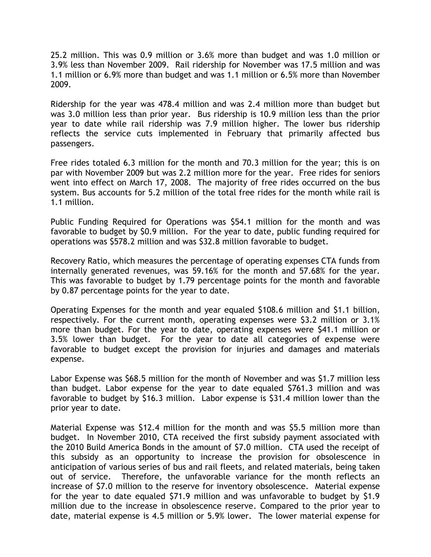25.2 million. This was 0.9 million or 3.6% more than budget and was 1.0 million or 3.9% less than November 2009. Rail ridership for November was 17.5 million and was 1.1 million or 6.9% more than budget and was 1.1 million or 6.5% more than November 2009.

Ridership for the year was 478.4 million and was 2.4 million more than budget but was 3.0 million less than prior year. Bus ridership is 10.9 million less than the prior year to date while rail ridership was 7.9 million higher. The lower bus ridership reflects the service cuts implemented in February that primarily affected bus passengers.

Free rides totaled 6.3 million for the month and 70.3 million for the year; this is on par with November 2009 but was 2.2 million more for the year. Free rides for seniors went into effect on March 17, 2008. The majority of free rides occurred on the bus system. Bus accounts for 5.2 million of the total free rides for the month while rail is 1.1 million.

Public Funding Required for Operations was \$54.1 million for the month and was favorable to budget by \$0.9 million. For the year to date, public funding required for operations was \$578.2 million and was \$32.8 million favorable to budget.

Recovery Ratio, which measures the percentage of operating expenses CTA funds from internally generated revenues, was 59.16% for the month and 57.68% for the year. This was favorable to budget by 1.79 percentage points for the month and favorable by 0.87 percentage points for the year to date.

Operating Expenses for the month and year equaled \$108.6 million and \$1.1 billion, respectively. For the current month, operating expenses were \$3.2 million or 3.1% more than budget. For the year to date, operating expenses were \$41.1 million or 3.5% lower than budget. For the year to date all categories of expense were favorable to budget except the provision for injuries and damages and materials expense.

Labor Expense was \$68.5 million for the month of November and was \$1.7 million less than budget. Labor expense for the year to date equaled \$761.3 million and was favorable to budget by \$16.3 million. Labor expense is \$31.4 million lower than the prior year to date.

Material Expense was \$12.4 million for the month and was \$5.5 million more than budget. In November 2010, CTA received the first subsidy payment associated with the 2010 Build America Bonds in the amount of \$7.0 million. CTA used the receipt of this subsidy as an opportunity to increase the provision for obsolescence in anticipation of various series of bus and rail fleets, and related materials, being taken out of service. Therefore, the unfavorable variance for the month reflects an increase of \$7.0 million to the reserve for inventory obsolescence. Material expense for the year to date equaled \$71.9 million and was unfavorable to budget by \$1.9 million due to the increase in obsolescence reserve. Compared to the prior year to date, material expense is 4.5 million or 5.9% lower. The lower material expense for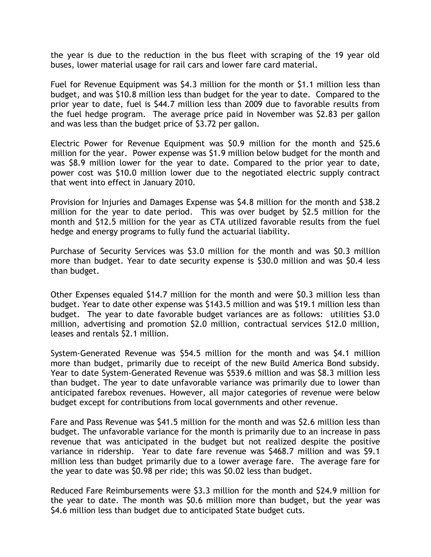the year is due to the reduction in the bus fleet with scraping of the 19 year old buses, lower material usage for rail cars and lower fare card material.

Fuel for Revenue Equipment was \$4.3 million for the month or \$1.1 million less than budget, and was \$10.8 million less than budget for the year to date. Compared to the prior year to date, fuel is \$44.7 million less than 2009 due to favorable results from the fuel hedge program. The average price paid in November was \$2.83 per gallon and was less than the budget price of \$3.72 per gallon.

Electric Power for Revenue Equipment was \$0.9 million for the month and \$25.6 million for the year. Power expense was \$1.9 million below budget for the month and was \$8.9 million lower for the year to date. Compared to the prior year to date, power cost was \$10.0 million lower due to the negotiated electric supply contract that went into effect in January 2010.

Provision for Injuries and Damages Expense was \$4.8 million for the month and \$38.2 million for the year to date period. This was over budget by \$2.5 million for the month and \$12.5 million for the year as CTA utilized favorable results from the fuel hedge and energy programs to fully fund the actuarial liability.

Purchase of Security Services was \$3.0 million for the month and was \$0.3 million more than budget. Year to date security expense is \$30.0 million and was \$0.4 less than budget.

Other Expenses equaled \$14.7 million for the month and were \$0.3 million less than budget. Year to date other expense was \$143.5 million and was \$19.1 million less than budget. The year to date favorable budget variances are as follows: utilities \$3.0 million, advertising and promotion \$2.0 million, contractual services \$12.0 million, leases and rentals \$2.1 million.

System-Generated Revenue was \$54.5 million for the month and was \$4.1 million more than budget, primarily due to receipt of the new Build America Bond subsidy. Year to date System-Generated Revenue was \$539.6 million and was \$8.3 million less than budget. The year to date unfavorable variance was primarily due to lower than anticipated farebox revenues. However, all major categories of revenue were below budget except for contributions from local governments and other revenue.

Fare and Pass Revenue was \$41.5 million for the month and was \$2.6 million less than budget. The unfavorable variance for the month is primarily due to an increase in pass revenue that was anticipated in the budget but not realized despite the positive variance in ridership. Year to date fare revenue was \$468.7 million and was \$9.1 million less than budget primarily due to a lower average fare. The average fare for the year to date was \$0.98 per ride; this was \$0.02 less than budget.

Reduced Fare Reimbursements were \$3.3 million for the month and \$24.9 million for the year to date. The month was \$0.6 million more than budget, but the year was \$4.6 million less than budget due to anticipated State budget cuts.